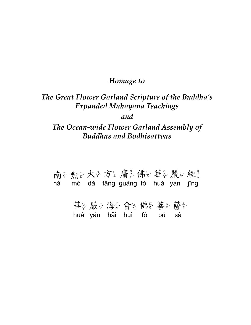### *Homage to*

## *The Great Flower Garland Scripture of the Buddha's Expanded Mahayana Teachings*

*and*

### *The Ocean-wide Flower Garland Assembly of Buddhas and Bodhisattvas*

南多無是大多方是廣義佛是華多嚴可經 ná mó dà fāng guǎng fó huá yán jīng

> 華多嚴可海易會多佛是菩多薩令 huá yán hǎi huì fó pú sà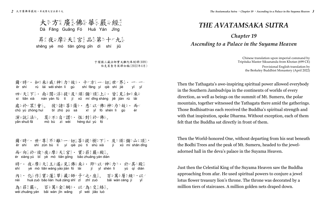Dà Fāng Guǎng Fó Huá Yán Jīng 大多方是廣美佛是華多嚴多經之 昇乙夜天摩宮宮学品会第二十九天

shēng yè mó tiān gōng pǐn dì shí jiǔ

 ěr shí shì zūn bù lí yí qiè pú tí shù xià jí xū mí shān dǐng ér xiàng yú bǐ yè mó tiān gōng bǎo zhuāng yán diàn shí yè mó tiān wáng yáo jiàn fó lái jí yǐ shén lì yú qí diàn nèi huà zuò bǎo lián huā zàng shī zǐ zhī zuò bǎi wàn céng jí yǐ wéi zhuāng yán bǎi wàn jīn wǎng yǐ wéi jiāo luò 爾心時が・世が尊景不多離空一イ切音菩多提を樹る下で・及生須正彌巴山弓頂を・ 而心向天於心夜更摩是天言宮之。 寶公莊美嚴可殿之。 時已夜要要天意王後遙之見黃佛是來多·即也以一神是力去·於正其之殿為 内之· 化系作器實象蓮器華系藏器師?子以之业座器。 百象萬多層を級生·以一 為き莊業嚴み。百多萬多金美網を・以一為そ交是絡急。

于闐國三藏法師實叉難陀奉制譯(699) 伯克萊聖寺英譯初稿(2022年4月)

ěr shí rú lái wēi shén lì gù shí fāng yí qiè shì jiè sì tiān xià nán yán fú tí jí xū mí dǐng shàng jiē jiàn rú lái chủ yú zhòng huì bǐ zhū pú sà xī yǐ fó shén lì gù yǎn shuō fǎ mò bù zì wèi héng duì yú fó 爾心時之·如果來多威之神引力去故意· 十之方是一一切意世之界是· 一一一一 四公天言下六· 南多閣可浮之提至及当須品彌巴頂之上云· 皆是見言如果來多 處如於以眾美會系。彼之諸失菩多薩令· 悉エ以一佛是神母力を故处· 而 演ぶ說《法》。莫思不知自『謂》・ 恆公對冬於『佛思。

# *The Avatamsaka SUTRA*

## *Chapter 19 Ascending to a Palace in the Suyama Heaven*

Chinese translation upon imperial command by Tripitaka Master Siksananda from Khotan (699 CE) Provisional English translation by the Berkeley Buddhist Monastery (April 2022)

Then the Tathagata's awe-inspiring spiritual power allowed everybody in the Southern Jambudvipa in the continents of worlds of every direction, as well as beings on the summit of Mt. Sumeru, the polar mountain, together witnessed the Tathagata there amid the gatherings. Those Bodhisattvas each received the Buddha's spiritual strength and with that inspiration, spoke Dharma. Without exception, each of them felt that the Buddha sat directly in front of them.

Then the World-honored One, without departing from his seat beneath the Bodhi Trees and the peak of Mt. Sumeru, headed to the jeweladorned hall in the deva's palace in the Suyama Heaven.

Just then the Celestial King of the Suyama Heaven saw the Buddha approaching from afar. He used spiritual powers to conjure a jewel lotus flower treasury lion's throne. The throne was decorated by a million tiers of staircases. A million golden nets draped down.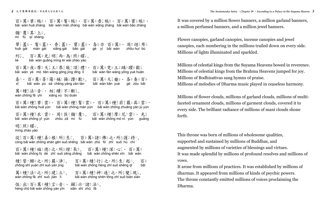bǎi wàn huā zhàng bǎi wàn mán zhàng bǎi wàn xiāng zhàng bǎi wàn bǎo zhàng mí fù qí shàng huā gài mán gài xiāng gài bǎo gài gè yì bǎi wàn zhōu huí bù liè bǎi wàn guāng míng ér wéi zhào yào bǎi wàn yè mó tiān wáng gōng jìng dǐng lǐ bǎi wàn fàn wáng yǒng yuè huān xǐ bǎi wàn pú sà chēng yáng zàn tàn bǎi wàn tiān yuè gè zòu bǎi wàn zhǒng fǎ yīn xiāng xù bú duàn bǎi wàn zhǒng huā yún bǎi wàn zhǒng mán yún bǎi wàn zhǒng zhuāng yán jù yún bǎi wàn zhǒng yī yún zhōu zā mí fù bǎi wàn zhǒng mó ní yún quāng míng zhào yào cóng bǎi wàn zhǒng shàn gēn suǒ shēng bǎi wàn zhū fó zhī suǒ hù chí bǎi wàn zhǒng fú dé zhī suǒ zēng zhǎng bǎi wàn zhǒng shēn xīn bǎi wàn zhǒng shì yuàn zhī suǒ yán jìng bǎi wàn zhǒng hèng zhī suǒ shēng qǐ bǎi wàn zhǒng fǎ zhī suǒ jiàn lì bǎi wàn zhǒng shén tōng zhī suǒ biàn xiàn 百多萬多華多帳ま・ 百多萬多鬘具帳ま・ 百多萬多香 張ま・ 百多萬多寶多帳ま・ 彌里覆兵其至上是。 華《蓋》· 鬘以蓋》· 香义蓋》· 賓公蓋》· 各》亦一百》萬》· 周步迴《布》 列音。百名萬分光集明是而心為多照要耀音。 百多萬多夜至摩是天音王多敬是敬之頂之禮。 百多萬多梵馬王多踊出躍呈歡多 喜小· 百多萬多菩多薩令稱之揚天讚歌夢。 百多萬多天意樂學· 各參奏要百多 萬多種整法長音三· 相是續正不多斷象。 百多萬多種を華多雲。 百多萬多種を聲。 百多萬多種を莊業嚴可具出雲以・ 百多萬多種老夜-雲以· 周貴匝?彌巴覆足。 百多萬多種整摩思尼亞雲以· 光變 明是照紫耀家。 從多百象萬多種参善紀,所多護多種。 百象萬多諸集佛是之业所多護多持行。 百多萬多種差福受德多之。所多增之長對。 百多萬多種整深引心第十 百多萬多 種类誓户願与之业所多些尸願与足业所参生之之业 萬分種老種老種之一所多變多現意。

héng chū bǎi wàn zhǒng yán yīn xiǎn shì zhū fǎ 恆公出《百象萬多種》言言音;• 顯景示『諸》法を。 It was covered by a million flower banners, a million garland banners, a million perfumed banners, and a million jewel banners.

Flower canopies, garland canopies, incense canopies and jewel canopies, each numbering in the millions trailed down on every side. Millions of lights illuminated and sparkled.

Millions of celestial kings from the Suyama Heavens bowed in reverence. Millions of celestial kings from the Brahma Heavens jumped for joy. Millions of Bodhisattvas sang hymns of praise. Millions of melodies of Dharma music played in ceaseless harmony.

Millions of flower clouds, millions of garland clouds, millions of multifaceted ornament clouds, millions of garment clouds, covered it to every side. The brilliant radiance of millions of mani clouds shone forth.

This throne was born of millions of wholesome qualities, supported and sustained by millions of Buddhas, and augmented by millions of varieties of blessings and virtues. It was made splendid by millions of profound resolves and millions of vows.

It arose from millions of practices. It was established by millions of dharmas. It appeared from millions of kinds of psychic powers. The throne constantly emitted millions of voices proclaiming the Dharma.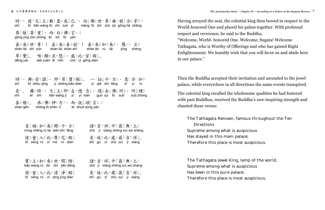shí bǐ tiān wáng fū zhì zuò yǐ xiàng fó shì zūn qū gōng hé zhǎng gōng jìng zūn zhòng ér bó fó yán 時已。彼之天意王後數只置些座影已一。 向某佛是世之尊是曲名躬是合是掌要。 恭 敬志尊孝重 · 而心白之佛是言可: 善尽來知世户尊是! 善尽來說逝户! 善尽來知如果來說 應心 正当

děng jué wéi yuàn āi mǐn chǔ cǐ gōng diàn 等公覺出。唯《願以哀》愍品· 處如此が宮登殿為。

shí fó shòu qǐng jí shēng bǎo diàn yí qiè shí fāng xī yì rú shì ěr shí tiān wáng jí zì yì niàn guò qù fó suǒ suǒ zhòng shàn gēn chéng fó shén lì ér shuō sòng yán 時『・佛》受豕請氵・即⇒昇⒉寶&殿多。 一一切音十户方:・ 悉Ⅱ亦一如果 是『。 爾心時『・天言王治即と自『憶一念』・過答去公佛を所多・所多種を 善尽根。 承到佛是神尽力之 · 而心說是頌多言可:

míng chēng rú lái wén shí fāng zhū jí xiáng zhōng zuì wú shàng bǐ céng rù cǐ mó ní diàn shì gù cǐ chù zuì jí xiáng 名是稱《如果來新聞》十六方法 諸夫吉是祥是中美最美無不上是 彼之曾之入县此户屋之殿。 是户故处此之處多最多吉当样意。

bǎo wáng rú lái shì jiān dēng zhū jí xiáng zhōng zuì wú shàng bǐ céng rù cǐ qīng jìng diàn shì gù cǐ chù zuì jí xiáng 實公王治如果來為世內間是燈之 諸夫吉是祥是中美最美無不上是 彼之曾之入县北清清,殿。 是《故》此》處《最《吉兰祥》。

shàn lái shì zūn shàn lái shàn shì shàn lái rú lái yìng zhèng

Having arrayed the seat, the celestial king then bowed in respect to the World-honored One and placed his palms together. With profound respect and reverence, he said to the Buddha, "Welcome, World- honored One. Welcome, Sugata! Welcome Tathagata, who is Worthy of Offerings and who has gained Right Enlightenment. We humbly wish that you will favor us and abide here in our palace."

Then the Buddha accepted their invitation and ascended to the jewel palace, while everywhere in all directions the same events transpired.

The celestial king recalled the wholesome qualities he had fostered with past Buddhas, received the Buddha's awe-inspiring strength and chanted these verses:

The Tathagata Renown, famous throughout the Ten **Directions** Supreme among what is auspicious Has stayed in this mani palace; Therefore this place is most auspicious.

The Tathagata Jewel King, lamp of the world, Supreme among what is auspicious Has been in this pure palace; Therefore this place is most auspicious.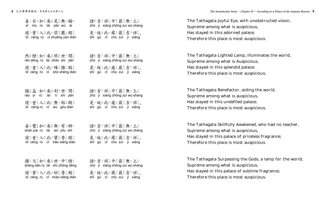| 喜工目只如果來多見芸無メ礙が                                                                                       | 諸类吉当祥是中美最美無×上委                  |
|------------------------------------------------------------------------------------------------------|---------------------------------|
| xǐ mù rú lái jiàn wú ài                                                                              | zhū jí xiáng zhōng zuì wú shàng |
| 彼 ? 曾 2 入 5 此 * 莊 * 嚴 # 殿 *     是 # 故 \$ 此 * 處 \$ 最 * 春 * 吉 * 祥 # 。<br>bǐ céng rù cǐ zhuāng yán diàn | shì gù cỉ chù zuì jí xiáng      |
| 然影燈2如要來象照要世內間尝                                                                                       | 諸类吉些祥是中美最美無×上奏                  |
| rán dēng rú lái zhào shì jiān                                                                        | zhū jí xiáng zhōng zuì wú shàng |
| 彼之曾之入是此岁殊又勝公殿意                                                                                       | 是户故》此#處 《最 》吉 "祥"。              |
| bǐ céng rù cǐ shū shèng diàn                                                                         | shì gù cỉ chù zuì jí xiáng      |
| 饒塁益一如要來勢利至世內間當                                                                                       | 諸ﷺ 吉些祥妻中类最类無*上奏                 |
| ráo yì rú lái lì shì jiān                                                                            | zhū jí xiáng zhōng zuì wú shàng |
| 彼 2 曾 2 入 5 此 + 無 × 垢 \$ 殿 第一                                                                        | 是↗故≶此ャ處≶最₹吉±祥₹。                 |
| bǐ céng rù cǐ wú gòu diàn                                                                            | shì gù cỉ chù zuì jí xiáng      |
| 善 影望如果來 <i>無 ×</i> 有 <del>x</del> 師 ァ                                                                | 諸线吉当祥是中美最系無×上委                  |
| shàn jué rú lái wú yǒu shī                                                                           | zhū jí xiáng zhōng zuì wú shàng |
| 彼之曾艺入县此步寶公香是殿套                                                                                       | 是户故》此为處多最具吉当祥要。                 |
| bǐ céng rù cǐ bǎo xiāng diàn                                                                         | shì gù cỉ chù zuì jí xiáng      |
| 勝公天意如果來象世內中美燈2                                                                                       | 諸线吉当祥是中美最系無×上委                  |
| shèng tiān rú lái shì zhōng dēng                                                                     | zhū jí xiáng zhōng zuì wú shàng |
| 彼立曾艺入县此步妙景香素殿景                                                                                       | 是户故》此#處 最 吉 样。                  |
| bǐ céng rù cǐ miào xiāng diàn                                                                        | shì gù cǐ chù zuì jí xiáng      |

The Tathagata Joyful Eye, with unobstructed vision, Supreme among what is auspicious, Has stayed in this adorned palace; Therefore this place is most auspicious.

The Tathagata Lighted Lamp, illuminates the world, Supreme among what is Auspicious, Has stayed in this splendid palace; Therefore this place is most auspicious.

The Tathagata Benefactor, aiding the world, Supreme among what is auspicious, Has stayed in this undefiled palace; Therefore this place is most auspicious.

The Tathagata Skillfully Awakened, who had no teacher, Supreme among what is auspicious, Has stayed in this palace of priceless fragrance; Therefore this place is most auspicious.

The Tathagata Surpassing the Gods, a lamp for the world, Supreme among what is auspicious, Has stayed in this palace of sublime fragrance; Therefore this place is most auspicious.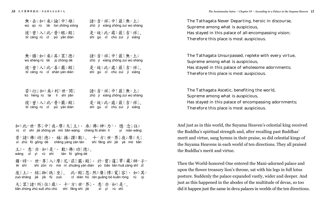| 無 <i>×</i> 去 á 如 ½ 來 <i>%</i> 論 ½ 中 ½ 雄 ½ | 諸类吉芝祥美中类最类無×上委                  |
|-------------------------------------------|---------------------------------|
| wú qù rú lái lùn zhōng xióng              | zhū jí xiáng zhōng zuì wú shàng |
| 彼之曾之入县此岁普多眼习殿赏                            | 是户故》此#處 最 吉 样。                  |
| bǐ céng rù cǐ pǔ yǎn diàn                 | shì gù cỉ chù zuì jí xiáng      |
| 無 × 勝公如要來 * 具 th 眾 * 德 *                  | 諸类吉と祥是中美最炎無×上系                  |
| wú shèng rú lái jù zhòng dé               | zhū jí xiáng zhōng zuì wú shàng |
| 彼之曾之入处此岁善多嚴乏殿务                            | 是户故《此#處》最《吉毕祥》。                 |
| bǐ céng rù cǐ shàn yán diàn               | shì gù cỉ chù zuì jí xiáng      |
| <del>若</del> &行公如&來#利△世e間≒                | 諸类吉芝祥美中姜最萎無×上委                  |
| kǔ hèng rú lái lì shì jiān                | zhū jí xiáng zhōng zuì wú shàng |
|                                           |                                 |

bǐ céng rù cǐ pǔ yán diàn shì gù cǐ chù zuì jí xiáng 彼平曾之入县北半番多嚴,殿高、是中故,此,處多最是吉平祥是。

 rú cǐ shì jiè zhōng yè mó tiān wáng chéng fó shén lì yì niàn wǎng xí zhū fó gōng dé chēng yáng zàn tàn shí fāng shì jiè yè mó tiān wáng xī yì rú shì tàn fó gōng dé ěr shí shì zūn rù mó ní zhuāng yán diàn yú bǎo lián huā zàng shī zǐ zuò shàng jié jiā fū zuò cǐ diàn hū rán guǎng bó kuān róng rú qí tiān zhòng zhū suǒ zhù chù shí fāng shì jiè xī yì rú shì 如果此於世內界是中之不摩是王子· 承之佛是神母力之· 憶一念為往至 昔正諸失佛是独多·稱《揚天讚為歎》。 十二方是世之界是夜至摩是天意 王治·悉王亦一如是是户·歎事佛是功差德多。 爾心時之·世之尊之人要學尼之莊之嚴之殿之。於以實公蓮之華名藏是師之子。 座 上公· 結果助學 趺 坐 。 此 物 聚 宗 忽 《 然 界 廣 条 博 》 寬 落 累 。 如 哭 其 シ 天意眾巻諸歩所多住歩處》・ 十户方是世户界是· 悉ェ亦一如旻是户。

The Tathagata Never Departing, heroic in discourse, Supreme among what is auspicious, Has stayed in this palace of all-encompassing vision; Therefore this place is most auspicious.

The Tathagata Unsurpassed, replete with every virtue, Supreme among what is auspicious, Has stayed in this palace of wholesome adornments; Therefore this place is most auspicious.

The Tathagata Ascetic, benefiting the world, Supreme among what is auspicious, Has stayed in this palace of encompassing adornments; Therefore this place is most auspicious.

And just as in this world, the Suyama Heaven's celestial king received the Buddha's spiritual strength and, after recalling past Buddhas' merit and virtue, sang hymns in their praise, so did celestial kings of the Suyama Heavens in each world of ten directions. They all praised the Buddha's merit and virtue.

Then the World-honored One entered the Mani-adorned palace and upon the flower treasury lion's throne, sat with his legs in full lotus posture. Suddenly the palace expanded vastly, wider and deeper. And just as this happened in the abodes of the multitude of devas, so too did it happen just the same in deva palaces in worlds of the ten directions.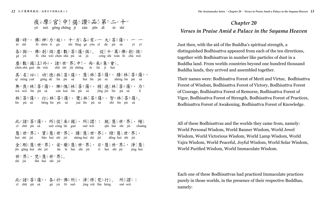yè mó gōng zhōng jì zàn pǐn dì èr shí 夜天摩罗中之偈大讚天品之第二二八十六

 ěr shí fó shén lì gù shí fāng gè yǒu yī dà pú sà yī yī gè yǔ fó chà wéi chén shù pú sà jù cóng shí wàn fó chà wéi chén shù guó dù wài zhū shì jiè zhōng ér lái jí huì qí míng yuē gōng dé lín pú sà huì lín pú sà shèng lín pú sà wú wèi lín pú sà cán kuì lín pú sà jīng jìn lín pú sà lín pú sà hèng lín pú sà jué lín pú sà zhì lín pú sà 爾心時之·佛是神母力之故》· 十之方是各些有文一一大名菩多薩令· 一一一一 各些與心・佛是剎を燈を要及善き薩や俱出。 從差十戶萬を佛是剎を微を 塵多數多國多土多外系• 諸步世が界ま中を・而必來多集を會系。 其≦名½曰₩:功½德&林∻菩灸薩φ・ 慧系林☆菩灸薩φ・ 勝丞林☆菩灸薩φ・ 無\*畏き林菩菩多薩�・ 慚を愧ゑ林菩菩多薩�・ 精芸進芸林菩菩多薩�・ 力を 林豪菩多薩令・覺と林豪菩多薩令・智些林豪菩多薩令。

 cǐ zhū pú sà suǒ cóng lái guó suǒ wèi qīn huì shì jiè chuáng huì shì jiè bǎo huì shì jiè shèng huì shì jiè dēng huì shì jiè jīn gāng huì shì jiè ān lè huì shì jiè rì huì shì jiè jìng huì shì jiè fàn huì shì jiè 此が諸き菩薩令· 所診從多來多國影· 所診謂や: 親美慧冬世の界書· 幢髪 慧系世『界史・寶多慧系世』『勝公慧系世『界史・燈2慧系世『界史・ 金岩剛災慧系世が界ま・日が慧系世が界ます。 淨芸慧系 世产界是· 梵長慧系世产界是。

 cǐ zhū pú sà gè yú fó suǒ jìng xiū fàn hèng suǒ wèi 此ず諸き菩薩令• 各學於可佛是所多• 淨芸修美梵每行公。 所多謂令:

## *Chapter 20 Verses in Praise Amid a Palace in the Suyama Heaven*

Just then, with the aid of the Buddha's spiritual strength, a distinguished Bodhisattva appeared from each of the ten directions, together with Bodhisattvas in number like particles of dust in a Buddha land. From worlds countries beyond one hundred thousand Buddha lands, they arrived and assembled together.

Their names were: Bodhisattva Forest of Merit and Virtue, Bodhisattva Forest of Wisdom, Bodhisattva Forest of Victory, Bodhisattva Forest of Courage, Bodhisattva Forest of Remorse, Bodhisattva Forest of Vigor, Bodhisattva Forest of Strength, Bodhisattva Forest of Practices, Bodhisattva Forest of Awakening, Bodhisattva Forest of Knowledge.

All of these Bodhisattvas and the worlds they came from, namely: World Personal Wisdom, World Banner Wisdom, World Jewel Wisdom, World Victorious Wisdom, World Lamp Wisdom, World Vajra Wisdom, World Peaceful, Joyful Wisdom, World Solar Wisdom, World Purified Wisdom, World Immaculate Wisdom.

Each one of these Bodhisattvas had practiced Immaculate practices purely in those worlds, in the presence of their respective Buddhas, namely: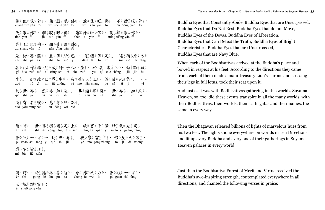cháng zhù yǎn fó wú shèng yǎn fó wú zhù yǎn fó bú dòng yǎn fó tiān yǎn fó jiě tuō yǎn fó shěn dì yǎn fó míng xiàng yǎn fó zuì shàng yǎn fó gàn qīng yǎn fó shì zhū pú sà zhì fó suǒ yǐ dǐng lǐ fó zú suí suǒ lái fāng gè huà zuò mó ní zàng shī zǐ zhī zuò yú qí zuò shàng jié jiā fū zuò rú cǐ shì jiè zhōng yè mó tiān shàng pú sà lái jí yí qiè shì jiè xī yì rú shì qí zhū pú sà shì jiè rú lái suǒ yǒu míng hào xī děng wú bié 常 华住 数眼 承佛 " 無 x 勝公眼 或佛 是 · 無 x 住 数眼 或佛 是 · 不 这動 多眼 或佛 是 · 天意眼可佛》· 解是脫意眼可佛》· 審察諦然眼可佛》· 明是相是眼可佛是· 最美上天眼可佛。 紺多青之眼可佛。。 是戸諸き菩灸薩�・ 至些佛旨所氢巳亡・ 頂急禮迦佛旨足灵。 隨念所氢來衆方足・ 各&化豕作暴摩是尼斗藏杂師? 子以之业座暴· 於山其子座暴上來· 結輩跏韋趺足 坐影。 如果此尤世户界是中学• 夜天摩思天真上杂• 菩多薩令來象集出。 —— 切ま世が界ま・ 悉エ亦・如要是か。 其を諸き菩多薩や・ 世が界ま・ 如要來多・ 所多有文名是號公·悉工等を無×別是。

 ěr shí shì zūn cóng liǎng zú shàng fàng bǎi qiān yì miào sè guāng míng pǔ zhào shí fāng yí qiè shì jiè yè mó gōng zhōng fó jí dà zhòng mí bù jiē xiàn 爾心時之·世之尊美從多兩是足之上是·放足百多千美億一妙是色含光美明是· 普多照娄十户方是一一切妥世户界甚。 夜田摩吕宫芝中姜• 佛吕及毕大冬眾娄• 靡是不多皆是現意。

 ěr shí gōng dé lín pú sà chéng fó wēi lì pǔ guān shí fāng ér shuō sòng yán 爾心時ア゙・ 功½德ミ>林ミ゙菩&薩☆・ 承½佛&威ミカミ・ 普&觀ミ゚十ァ´方ミ・ 而心說 颂绘言字:

Buddha Eyes that Constantly Abide, Buddha Eyes that are Unsurpassed, Buddha Eyes that Do Not Rest, Buddha Eyes that do not Move, Buddha Eyes of the Devas, Buddha Eyes of Liberation, Buddha Eyes that Can Detect the Truth, Buddha Eyes of Bright Characteristics, Buddha Eyes that are Unsurpassed, Buddha Eyes that are Navy Blue.

When each of the Bodhisattvas arrived at the Buddha's place and bowed in respect at his feet. According to the directions they came from, each of them made a mani-treasury Lion's Throne and crossing their legs in full lotus, took their seat upon it.

And just as it was with Bodhisattvas gathering in this world's Suyama Heaven, so, too, did these events transpire in all the many worlds, with their Bodhisattvas, their worlds, their Tathagatas and their names, the same in every way.

Then the Bhagavan released billions of lights of marvelous hues from his two feet. The lights shone everywhere on worlds in Ten Directions, and lit up every Buddha and every one of their gatherings in Suyama Heaven palaces in every world.

Just then the Bodhisattva Forest of Merit and Virtue received the Buddha's awe-inspiring strength, contemplated everywhere in all directions, and chanted the following verses in praise: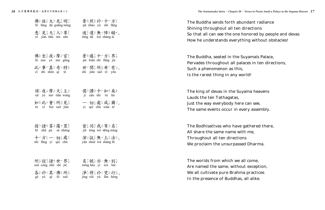undant radiance directions honored by people and devas hing without obstacles!

Suyama's Palace, laces in ten directions, orld!

yama heavens

e can see, very assembly.

gathered there, ith me, ed Dharma.

all come, ut exception, na practices

| 佛是放是大多光美明是                                              | 普多照紫於山十二方是                                                                              | The Buddha sends forth abundant ra                                                                                                             |
|---------------------------------------------------------|-----------------------------------------------------------------------------------------|------------------------------------------------------------------------------------------------------------------------------------------------|
| fó fàng dà guāng míng                                   | pǔ zhào yú shí fāng                                                                     | Shining throughout all ten directions                                                                                                          |
| 悉工見芸天芸人學尊芸                                              | 通芝達&無x障業礙が。                                                                             | So that all can see the one honored b                                                                                                          |
| xī jiàn tiān rén zūn                                    | tōng dá wú zhàng ài                                                                     | How he understands everything with                                                                                                             |
| fó zuò yè mó gōng<br>此が事が甚な奇と特を<br>cǐ shì shèn qí tè    | 佛是坐萎夜玉摩是宫羹 普多遍意十户方是界贵<br>pǔ biàn shí fāng jiè<br>世户間≒所含希□有文。<br>shì jiān suǒ xī yǒu     | The Buddha, seated in the Suyama's<br>Pervades throughout all palaces in te<br>Such a phenomenon as this,<br>Is the rarest thing in any world! |
| 須『夜『摩』天言王爻                                              |                                                                                         | The king of devas in the Suyama hea                                                                                                            |
| xū yè mó tiān wáng                                      | jì zàn shí rú lái                                                                       | Lauds the ten Tathagatas,                                                                                                                      |
| 如果此尤會系所多見是                                              | ——切最處 & 咸 m 爾 n 。                                                                       | Just the way everybody here can see,                                                                                                           |
| rú cǐ huì suǒ jiàn                                      | yí qiè chù xián ěr                                                                      | The same events occur in every asser                                                                                                           |
| bǐ zhū pú sà zhòng<br>十户方是一一切美處系<br>shí fāng yí qiè chù | 彼2.諸要菩多薩令眾类 皆是同茎我爸等 2名是<br>jiē tóng wǒ děng míng<br>演ぶ說《無》上《法》。<br>yăn shuō wú shàng fă | The Bodhisattvas who have gathered<br>All share the same name with me,<br>Throughout all ten directions<br>We proclaim the unsurpassed Dharm   |
| 所多從多諸要世內界業                                              | 名是號公亦一無×別是                                                                              | The worlds from which we all come,                                                                                                             |
| suǒ cóng zhū shì jiè                                    | míng hào yì wú bié                                                                      | Are named the same, without except.                                                                                                            |
|                                                         | 淨☆修美於□梵☆行公。                                                                             | We all cultivate pure Brahma practic                                                                                                           |
| gè yú qí fó suǒ                                         | jìng xiū yú fàn hèng                                                                    | In the presence of Buddhas, all alike.                                                                                                         |